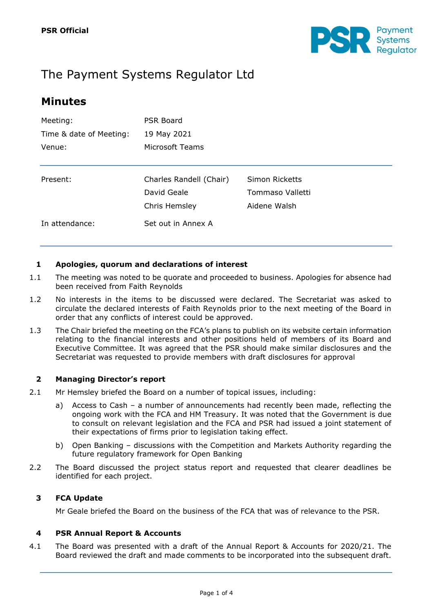

# The Payment Systems Regulator Ltd

## **Minutes**

| Meeting:                | <b>PSR Board</b><br>19 May 2021 |                  |  |
|-------------------------|---------------------------------|------------------|--|
| Time & date of Meeting: |                                 |                  |  |
| Venue:                  | Microsoft Teams                 |                  |  |
|                         |                                 |                  |  |
| Present:                | Charles Randell (Chair)         | Simon Ricketts   |  |
|                         | David Geale                     | Tommaso Valletti |  |
|                         | Chris Hemsley                   | Aidene Walsh     |  |
| In attendance:          | Set out in Annex A              |                  |  |

#### **1 Apologies, quorum and declarations of interest**

- 1.1 The meeting was noted to be quorate and proceeded to business. Apologies for absence had been received from Faith Reynolds
- 1.2 No interests in the items to be discussed were declared. The Secretariat was asked to circulate the declared interests of Faith Reynolds prior to the next meeting of the Board in order that any conflicts of interest could be approved.
- 1.3 The Chair briefed the meeting on the FCA's plans to publish on its website certain information relating to the financial interests and other positions held of members of its Board and Executive Committee. It was agreed that the PSR should make similar disclosures and the Secretariat was requested to provide members with draft disclosures for approval

#### **2 Managing Director's report**

- 2.1 Mr Hemsley briefed the Board on a number of topical issues, including:
	- a) Access to Cash a number of announcements had recently been made, reflecting the ongoing work with the FCA and HM Treasury. It was noted that the Government is due to consult on relevant legislation and the FCA and PSR had issued a joint statement of their expectations of firms prior to legislation taking effect.
	- b) Open Banking discussions with the Competition and Markets Authority regarding the future regulatory framework for Open Banking
- 2.2 The Board discussed the project status report and requested that clearer deadlines be identified for each project.

#### **3 FCA Update**

Mr Geale briefed the Board on the business of the FCA that was of relevance to the PSR.

#### **4 PSR Annual Report & Accounts**

4.1 The Board was presented with a draft of the Annual Report & Accounts for 2020/21. The Board reviewed the draft and made comments to be incorporated into the subsequent draft.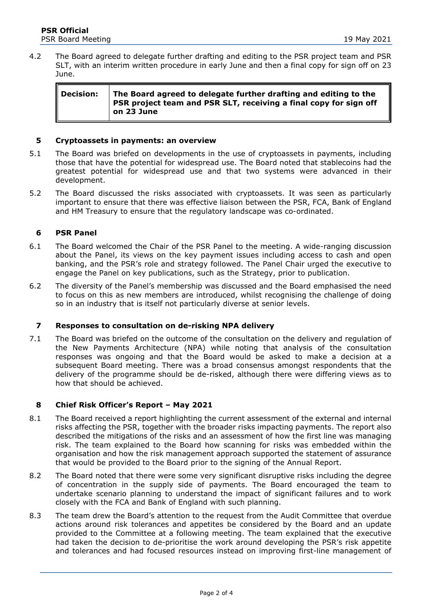4.2 The Board agreed to delegate further drafting and editing to the PSR project team and PSR SLT, with an interim written procedure in early June and then a final copy for sign off on 23 June.

| <b>Decision:</b> | The Board agreed to delegate further drafting and editing to the<br><b>PSR</b> project team and PSR SLT, receiving a final copy for sign off<br>on 23 June |
|------------------|------------------------------------------------------------------------------------------------------------------------------------------------------------|
|                  |                                                                                                                                                            |

#### **5 Cryptoassets in payments: an overview**

- 5.1 The Board was briefed on developments in the use of cryptoassets in payments, including those that have the potential for widespread use. The Board noted that stablecoins had the greatest potential for widespread use and that two systems were advanced in their development.
- 5.2 The Board discussed the risks associated with cryptoassets. It was seen as particularly important to ensure that there was effective liaison between the PSR, FCA, Bank of England and HM Treasury to ensure that the regulatory landscape was co-ordinated.

#### **6 PSR Panel**

- 6.1 The Board welcomed the Chair of the PSR Panel to the meeting. A wide-ranging discussion about the Panel, its views on the key payment issues including access to cash and open banking, and the PSR's role and strategy followed. The Panel Chair urged the executive to engage the Panel on key publications, such as the Strategy, prior to publication.
- 6.2 The diversity of the Panel's membership was discussed and the Board emphasised the need to focus on this as new members are introduced, whilst recognising the challenge of doing so in an industry that is itself not particularly diverse at senior levels.

#### **7 Responses to consultation on de-risking NPA delivery**

7.1 The Board was briefed on the outcome of the consultation on the delivery and regulation of the New Payments Architecture (NPA) while noting that analysis of the consultation responses was ongoing and that the Board would be asked to make a decision at a subsequent Board meeting. There was a broad consensus amongst respondents that the delivery of the programme should be de-risked, although there were differing views as to how that should be achieved.

#### **8 Chief Risk Officer's Report – May 2021**

- 8.1 The Board received a report highlighting the current assessment of the external and internal risks affecting the PSR, together with the broader risks impacting payments. The report also described the mitigations of the risks and an assessment of how the first line was managing risk. The team explained to the Board how scanning for risks was embedded within the organisation and how the risk management approach supported the statement of assurance that would be provided to the Board prior to the signing of the Annual Report.
- 8.2 The Board noted that there were some very significant disruptive risks including the degree of concentration in the supply side of payments. The Board encouraged the team to undertake scenario planning to understand the impact of significant failures and to work closely with the FCA and Bank of England with such planning.
- 8.3 The team drew the Board's attention to the request from the Audit Committee that overdue actions around risk tolerances and appetites be considered by the Board and an update provided to the Committee at a following meeting. The team explained that the executive had taken the decision to de-prioritise the work around developing the PSR's risk appetite and tolerances and had focused resources instead on improving first-line management of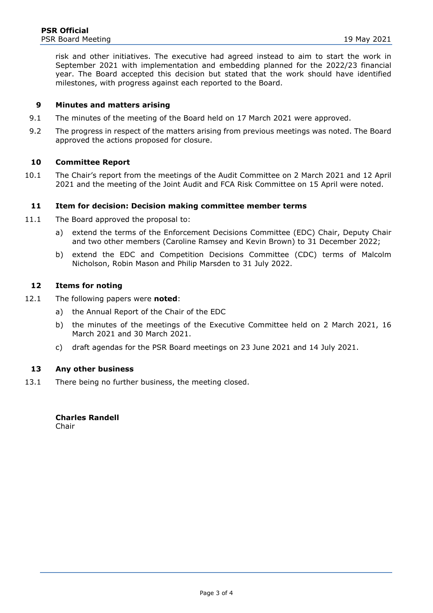risk and other initiatives. The executive had agreed instead to aim to start the work in September 2021 with implementation and embedding planned for the 2022/23 financial year. The Board accepted this decision but stated that the work should have identified milestones, with progress against each reported to the Board.

#### **9 Minutes and matters arising**

- 9.1 The minutes of the meeting of the Board held on 17 March 2021 were approved.
- 9.2 The progress in respect of the matters arising from previous meetings was noted. The Board approved the actions proposed for closure.

#### **10 Committee Report**

10.1 The Chair's report from the meetings of the Audit Committee on 2 March 2021 and 12 April 2021 and the meeting of the Joint Audit and FCA Risk Committee on 15 April were noted.

#### **11 Item for decision: Decision making committee member terms**

- 11.1 The Board approved the proposal to:
	- a) extend the terms of the Enforcement Decisions Committee (EDC) Chair, Deputy Chair and two other members (Caroline Ramsey and Kevin Brown) to 31 December 2022;
	- b) extend the EDC and Competition Decisions Committee (CDC) terms of Malcolm Nicholson, Robin Mason and Philip Marsden to 31 July 2022.

#### **12 Items for noting**

- 12.1 The following papers were **noted**:
	- a) the Annual Report of the Chair of the EDC
	- b) the minutes of the meetings of the Executive Committee held on 2 March 2021, 16 March 2021 and 30 March 2021.
	- c) draft agendas for the PSR Board meetings on 23 June 2021 and 14 July 2021.

#### **13 Any other business**

13.1 There being no further business, the meeting closed.

#### **Charles Randell**

Chair